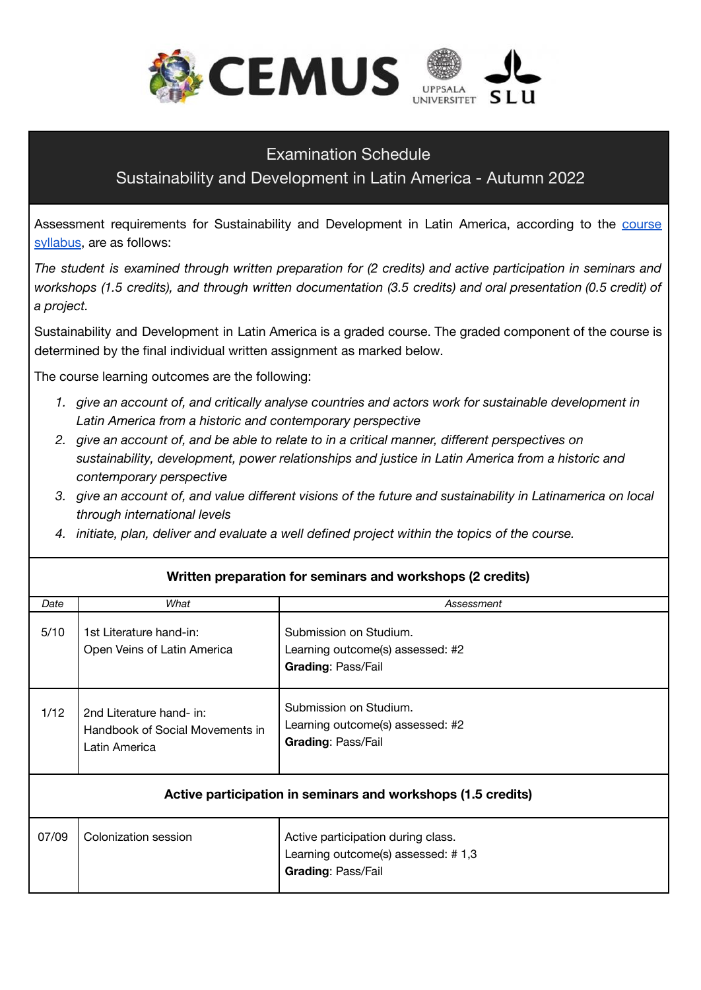

## Examination Schedule

## Sustainability and Development in Latin America - Autumn 2022

Assessment requirements for Sustainability and Development in Latin America, according to the **[course](https://www.uu.se/en/admissions/master/selma/kursplan/?kpid=37925&type=1)** [syllabus](https://www.uu.se/en/admissions/master/selma/kursplan/?kpid=37925&type=1), are as follows:

*The student is examined through written preparation for (2 credits) and active participation in seminars and workshops (1.5 credits), and through written documentation (3.5 credits) and oral presentation (0.5 credit) of a project.*

Sustainability and Development in Latin America is a graded course. The graded component of the course is determined by the final individual written assignment as marked below.

The course learning outcomes are the following:

- *1. give an account of, and critically analyse countries and actors work for sustainable development in Latin America from a historic and contemporary perspective*
- *2. give an account of, and be able to relate to in a critical manner, different perspectives on sustainability, development, power relationships and justice in Latin America from a historic and contemporary perspective*
- 3. give an account of, and value different visions of the future and sustainability in Latinamerica on local *through international levels*
- *4. initiate, plan, deliver and evaluate a well defined project within the topics of the course.*

| Date                                                         | What                                                                         | Assessment                                                                                            |  |
|--------------------------------------------------------------|------------------------------------------------------------------------------|-------------------------------------------------------------------------------------------------------|--|
| 5/10                                                         | 1st Literature hand-in:<br>Open Veins of Latin America                       | Submission on Studium.<br>Learning outcome(s) assessed: #2<br><b>Grading: Pass/Fail</b>               |  |
| 1/12                                                         | 2nd Literature hand- in:<br>Handbook of Social Movements in<br>Latin America | Submission on Studium.<br>Learning outcome(s) assessed: #2<br>Grading: Pass/Fail                      |  |
| Active participation in seminars and workshops (1.5 credits) |                                                                              |                                                                                                       |  |
| 07/09                                                        | Colonization session                                                         | Active participation during class.<br>Learning outcome(s) assessed: #1,3<br><b>Grading: Pass/Fail</b> |  |

## **Written preparation for seminars and workshops (2 credits)**